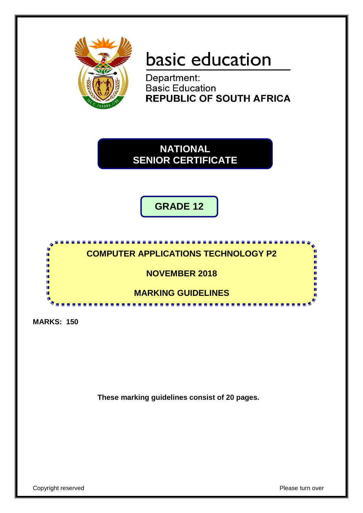

# basic education

Department: **Basic Education REPUBLIC OF SOUTH AFRICA** 

**NATIONAL SENIOR CERTIFICATE**

**GRADE 12**



**MARKS: 150**

**These marking guidelines consist of 20 pages.**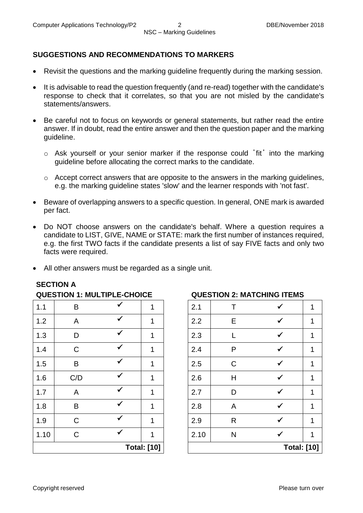#### **SUGGESTIONS AND RECOMMENDATIONS TO MARKERS**

- Revisit the questions and the marking guideline frequently during the marking session.
- It is advisable to read the question frequently (and re-read) together with the candidate's response to check that it correlates, so that you are not misled by the candidate's statements/answers.
- Be careful not to focus on keywords or general statements, but rather read the entire answer. If in doubt, read the entire answer and then the question paper and the marking guideline.
	- o Ask yourself or your senior marker if the response could ΄fit΄ into the marking guideline before allocating the correct marks to the candidate.
	- o Accept correct answers that are opposite to the answers in the marking guidelines, e.g. the marking guideline states 'slow' and the learner responds with 'not fast'.
- Beware of overlapping answers to a specific question. In general, ONE mark is awarded per fact.
- Do NOT choose answers on the candidate's behalf. Where a question requires a candidate to LIST, GIVE, NAME or STATE: mark the first number of instances required, e.g. the first TWO facts if the candidate presents a list of say FIVE facts and only two facts were required.
- All other answers must be regarded as a single unit.

| <b>QUESTION I. MULTIFLE-CHUICE</b> |              |  |   |      | QUESTION 2. MATCHING ITEMS |                   |  |
|------------------------------------|--------------|--|---|------|----------------------------|-------------------|--|
| 1.1                                | B            |  |   | 2.1  |                            |                   |  |
| 1.2                                | A            |  | 1 | 2.2  | E                          |                   |  |
| 1.3                                | D            |  | 1 | 2.3  |                            |                   |  |
| 1.4                                | $\mathsf{C}$ |  | 1 | 2.4  | P                          |                   |  |
| 1.5                                | B            |  | 1 | 2.5  | $\mathsf C$                | ✔                 |  |
| 1.6                                | C/D          |  | 1 | 2.6  | H                          | ✔                 |  |
| 1.7                                | A            |  | 1 | 2.7  | D                          |                   |  |
| 1.8                                | B            |  | 1 | 2.8  | A                          |                   |  |
| 1.9                                | $\mathsf C$  |  |   | 2.9  | R                          |                   |  |
| 1.10                               | $\mathsf{C}$ |  | 1 | 2.10 | N                          |                   |  |
| <b>Total: [10]</b>                 |              |  |   |      |                            | <b>Total: [10</b> |  |
|                                    |              |  |   |      |                            |                   |  |

#### **SECTION A**

#### **QUESTION 1: MULTIPLE-CHOICE QUESTION 2: MATCHING ITEMS**

| 1 | 2.10 | N            | $\checkmark$ | 1 |
|---|------|--------------|--------------|---|
| 1 | 2.9  | R            | ✓            | 1 |
| 1 | 2.8  | A            | $\checkmark$ | 1 |
| 1 | 2.7  | D            | ✓            | 1 |
| 1 | 2.6  | H            | ✔            | 1 |
| 1 | 2.5  | $\mathsf{C}$ | ✓            | 1 |
| 1 | 2.4  | P            | ✓            | 1 |
| 1 | 2.3  | L            | ✓            | 1 |
| 1 | 2.2  | E            | ✓            | 1 |
| 1 | 2.1  | Τ            | ✓            | 1 |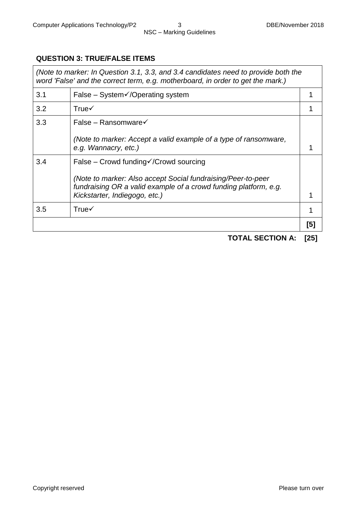#### **QUESTION 3: TRUE/FALSE ITEMS**

*(Note to marker: In Question 3.1, 3.3, and 3.4 candidates need to provide both the word 'False' and the correct term, e.g. motherboard, in order to get the mark.)*

| 3.1 | False – System $\checkmark$ / Operating system                                                                                   |     |
|-----|----------------------------------------------------------------------------------------------------------------------------------|-----|
| 3.2 | True $\checkmark$                                                                                                                |     |
| 3.3 | False – Ransomware√                                                                                                              |     |
|     | (Note to marker: Accept a valid example of a type of ransomware,<br>e.g. Wannacry, etc.)                                         |     |
| 3.4 | False – Crowd funding $\sqrt{C}$ rowd sourcing                                                                                   |     |
|     | (Note to marker: Also accept Social fundraising/Peer-to-peer<br>fundraising OR a valid example of a crowd funding platform, e.g. |     |
|     | Kickstarter, Indiegogo, etc.)                                                                                                    |     |
| 3.5 | $True\checkmark$                                                                                                                 |     |
|     |                                                                                                                                  | [5] |

**TOTAL SECTION A: [25]**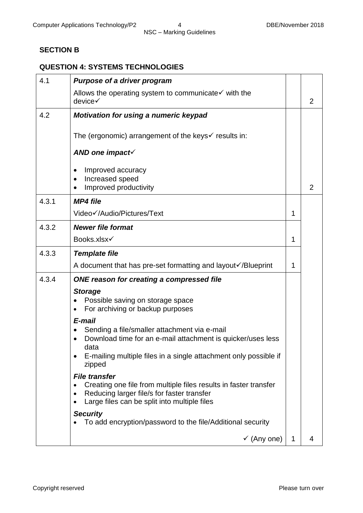# NSC – Marking Guidelines

#### **SECTION B**

## **QUESTION 4: SYSTEMS TECHNOLOGIES**

| 4.1   | <b>Purpose of a driver program</b>                                                                                                                                                     |   |                |
|-------|----------------------------------------------------------------------------------------------------------------------------------------------------------------------------------------|---|----------------|
|       | Allows the operating system to communicate√ with the<br>device√                                                                                                                        |   | 2              |
| 4.2   | <b>Motivation for using a numeric keypad</b>                                                                                                                                           |   |                |
|       | The (ergonomic) arrangement of the keys $\checkmark$ results in:                                                                                                                       |   |                |
|       | AND one impact $\checkmark$                                                                                                                                                            |   |                |
|       | Improved accuracy<br>$\bullet$<br>Increased speed<br>$\bullet$<br>Improved productivity                                                                                                |   | $\overline{2}$ |
| 4.3.1 | <b>MP4 file</b>                                                                                                                                                                        |   |                |
|       | Video√/Audio/Pictures/Text                                                                                                                                                             | 1 |                |
| 4.3.2 | <b>Newer file format</b>                                                                                                                                                               |   |                |
|       | Books.xlsx√                                                                                                                                                                            | 1 |                |
| 4.3.3 | <b>Template file</b>                                                                                                                                                                   |   |                |
|       | A document that has pre-set formatting and layout√/Blueprint                                                                                                                           | 1 |                |
| 4.3.4 | ONE reason for creating a compressed file                                                                                                                                              |   |                |
|       | <b>Storage</b><br>Possible saving on storage space<br>For archiving or backup purposes<br>$\bullet$                                                                                    |   |                |
|       | E-mail                                                                                                                                                                                 |   |                |
|       | Sending a file/smaller attachment via e-mail<br>Download time for an e-mail attachment is quicker/uses less<br>data                                                                    |   |                |
|       | E-mailing multiple files in a single attachment only possible if<br>zipped                                                                                                             |   |                |
|       | <b>File transfer</b><br>Creating one file from multiple files results in faster transfer<br>Reducing larger file/s for faster transfer<br>Large files can be split into multiple files |   |                |
|       | <b>Security</b><br>To add encryption/password to the file/Additional security                                                                                                          |   |                |
|       | $\checkmark$ (Any one)                                                                                                                                                                 | 1 | 4              |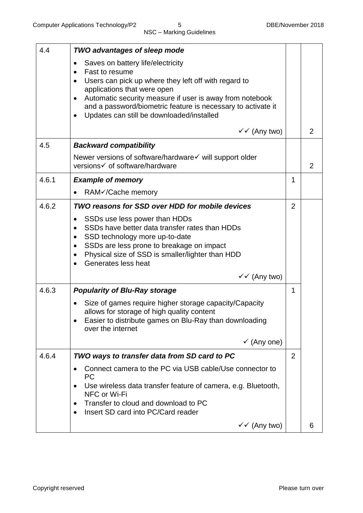| 4.4   | <b>TWO advantages of sleep mode</b>                                                                   |                |                |
|-------|-------------------------------------------------------------------------------------------------------|----------------|----------------|
|       | Saves on battery life/electricity<br>$\bullet$                                                        |                |                |
|       | Fast to resume<br>$\bullet$                                                                           |                |                |
|       | Users can pick up where they left off with regard to<br>applications that were open                   |                |                |
|       | Automatic security measure if user is away from notebook                                              |                |                |
|       | and a password/biometric feature is necessary to activate it                                          |                |                |
|       | Updates can still be downloaded/installed<br>$\bullet$                                                |                |                |
|       | $\checkmark$ (Any two)                                                                                |                | 2              |
| 4.5   | <b>Backward compatibility</b>                                                                         |                |                |
|       | Newer versions of software/hardware√ will support older                                               |                |                |
|       | versions√ of software/hardware                                                                        |                | $\overline{2}$ |
| 4.6.1 | <b>Example of memory</b>                                                                              | 1              |                |
|       | RAM√/Cache memory                                                                                     |                |                |
| 4.6.2 | <b>TWO reasons for SSD over HDD for mobile devices</b>                                                | $\overline{2}$ |                |
|       | SSDs use less power than HDDs<br>$\bullet$                                                            |                |                |
|       | SSDs have better data transfer rates than HDDs<br>$\bullet$                                           |                |                |
|       | SSD technology more up-to-date<br>$\bullet$<br>SSDs are less prone to breakage on impact<br>$\bullet$ |                |                |
|       | Physical size of SSD is smaller/lighter than HDD<br>$\bullet$                                         |                |                |
|       | Generates less heat                                                                                   |                |                |
|       | $\checkmark$ (Any two)                                                                                |                |                |
| 4.6.3 | <b>Popularity of Blu-Ray storage</b>                                                                  | 1              |                |
|       | Size of games require higher storage capacity/Capacity                                                |                |                |
|       | allows for storage of high quality content                                                            |                |                |
|       | Easier to distribute games on Blu-Ray than downloading<br>over the internet                           |                |                |
|       | $\checkmark$ (Any one)                                                                                |                |                |
|       |                                                                                                       |                |                |
| 4.6.4 | TWO ways to transfer data from SD card to PC                                                          | $\overline{2}$ |                |
|       | Connect camera to the PC via USB cable/Use connector to<br><b>PC</b>                                  |                |                |
|       | Use wireless data transfer feature of camera, e.g. Bluetooth,<br>NFC or Wi-Fi                         |                |                |
|       | Transfer to cloud and download to PC<br>٠                                                             |                |                |
|       | Insert SD card into PC/Card reader                                                                    |                |                |
|       | $\checkmark$ (Any two)                                                                                |                | 6              |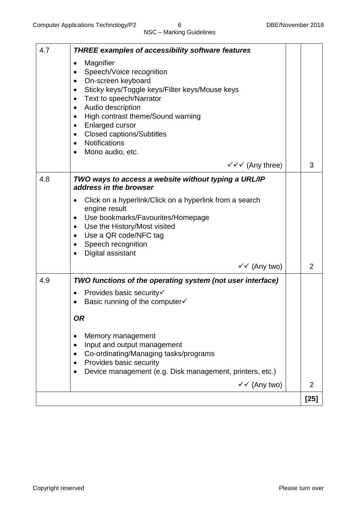| 4.7 | <b>THREE examples of accessibility software features</b>                                                                                                                                                                                                                                                                                                                                                                |                |
|-----|-------------------------------------------------------------------------------------------------------------------------------------------------------------------------------------------------------------------------------------------------------------------------------------------------------------------------------------------------------------------------------------------------------------------------|----------------|
|     | Magnifier<br>Speech/Voice recognition<br>٠<br>On-screen keyboard<br>$\bullet$<br>Sticky keys/Toggle keys/Filter keys/Mouse keys<br>$\bullet$<br>Text to speech/Narrator<br>$\bullet$<br>Audio description<br>$\bullet$<br>High contrast theme/Sound warning<br>$\bullet$<br><b>Enlarged cursor</b><br>$\bullet$<br><b>Closed captions/Subtitles</b><br>$\bullet$<br>Notifications<br>$\bullet$<br>Mono audio, etc.<br>٠ |                |
|     | $\checkmark \checkmark$ (Any three)                                                                                                                                                                                                                                                                                                                                                                                     | 3              |
| 4.8 | TWO ways to access a website without typing a URL/IP<br>address in the browser<br>Click on a hyperlink/Click on a hyperlink from a search<br>engine result<br>Use bookmarks/Favourites/Homepage<br>$\bullet$<br>Use the History/Most visited<br>$\bullet$<br>Use a QR code/NFC tag<br>$\bullet$<br>Speech recognition<br>$\bullet$<br>Digital assistant<br>$\bullet$                                                    |                |
|     | $\checkmark$ (Any two)                                                                                                                                                                                                                                                                                                                                                                                                  | $\overline{2}$ |
| 4.9 | TWO functions of the operating system (not user interface)<br>Provides basic security√<br>$\bullet$<br>Basic running of the computer√<br><b>OR</b><br>Memory management<br>Input and output management<br>Co-ordinating/Managing tasks/programs<br>Provides basic security<br>Device management (e.g. Disk management, printers, etc.)                                                                                  |                |
|     | $\checkmark$ (Any two)                                                                                                                                                                                                                                                                                                                                                                                                  | 2              |
|     |                                                                                                                                                                                                                                                                                                                                                                                                                         | $[25]$         |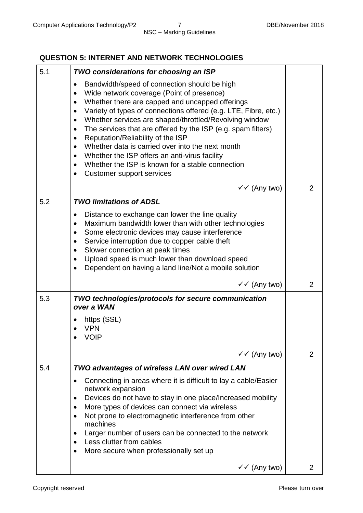## NSC – Marking Guidelines

#### **QUESTION 5: INTERNET AND NETWORK TECHNOLOGIES**

| 5.1 | <b>TWO considerations for choosing an ISP</b>                                                                                                                                                                                                                                                                                                                                                                                                                                                                                                                                                                                                                                                                 |                |
|-----|---------------------------------------------------------------------------------------------------------------------------------------------------------------------------------------------------------------------------------------------------------------------------------------------------------------------------------------------------------------------------------------------------------------------------------------------------------------------------------------------------------------------------------------------------------------------------------------------------------------------------------------------------------------------------------------------------------------|----------------|
|     | Bandwidth/speed of connection should be high<br>$\bullet$<br>Wide network coverage (Point of presence)<br>$\bullet$<br>Whether there are capped and uncapped offerings<br>$\bullet$<br>Variety of types of connections offered (e.g. LTE, Fibre, etc.)<br>$\bullet$<br>Whether services are shaped/throttled/Revolving window<br>$\bullet$<br>The services that are offered by the ISP (e.g. spam filters)<br>$\bullet$<br>Reputation/Reliability of the ISP<br>$\bullet$<br>Whether data is carried over into the next month<br>Whether the ISP offers an anti-virus facility<br>$\bullet$<br>Whether the ISP is known for a stable connection<br>$\bullet$<br><b>Customer support services</b><br>$\bullet$ |                |
|     | $\checkmark$ (Any two)                                                                                                                                                                                                                                                                                                                                                                                                                                                                                                                                                                                                                                                                                        | $\overline{2}$ |
| 5.2 | <b>TWO limitations of ADSL</b><br>Distance to exchange can lower the line quality<br>$\bullet$<br>Maximum bandwidth lower than with other technologies<br>$\bullet$<br>Some electronic devices may cause interference<br>$\bullet$<br>Service interruption due to copper cable theft<br>$\bullet$<br>Slower connection at peak times<br>$\bullet$<br>Upload speed is much lower than download speed<br>$\bullet$<br>Dependent on having a land line/Not a mobile solution<br>$\bullet$<br>$\checkmark$ (Any two)                                                                                                                                                                                              | 2              |
| 5.3 | TWO technologies/protocols for secure communication<br>over a WAN                                                                                                                                                                                                                                                                                                                                                                                                                                                                                                                                                                                                                                             |                |
|     | https (SSL)<br><b>VPN</b><br><b>VOIP</b>                                                                                                                                                                                                                                                                                                                                                                                                                                                                                                                                                                                                                                                                      |                |
|     | $\checkmark$ (Any two)                                                                                                                                                                                                                                                                                                                                                                                                                                                                                                                                                                                                                                                                                        | 2              |
| 5.4 | <b>TWO advantages of wireless LAN over wired LAN</b><br>Connecting in areas where it is difficult to lay a cable/Easier<br>٠<br>network expansion<br>Devices do not have to stay in one place/Increased mobility<br>٠<br>More types of devices can connect via wireless<br>$\bullet$<br>Not prone to electromagnetic interference from other<br>$\bullet$<br>machines<br>Larger number of users can be connected to the network<br>$\bullet$<br>Less clutter from cables<br>More secure when professionally set up                                                                                                                                                                                            |                |
|     | $\checkmark$ (Any two)                                                                                                                                                                                                                                                                                                                                                                                                                                                                                                                                                                                                                                                                                        | 2              |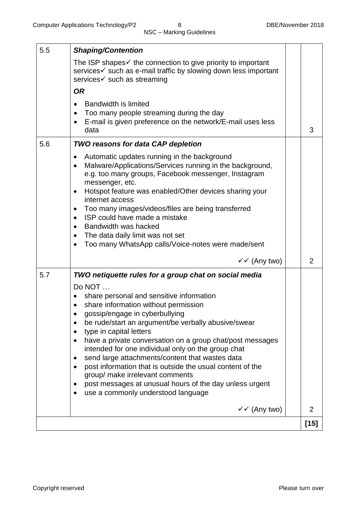| 5.5 | <b>Shaping/Contention</b>                                                                                                                                                                                                                                                                                                                                                                                                                                                                                                                                                                                                                                                                            |                |
|-----|------------------------------------------------------------------------------------------------------------------------------------------------------------------------------------------------------------------------------------------------------------------------------------------------------------------------------------------------------------------------------------------------------------------------------------------------------------------------------------------------------------------------------------------------------------------------------------------------------------------------------------------------------------------------------------------------------|----------------|
|     | The ISP shapes $\checkmark$ the connection to give priority to important<br>services v such as e-mail traffic by slowing down less important<br>services√ such as streaming                                                                                                                                                                                                                                                                                                                                                                                                                                                                                                                          |                |
|     | <b>OR</b>                                                                                                                                                                                                                                                                                                                                                                                                                                                                                                                                                                                                                                                                                            |                |
|     | <b>Bandwidth is limited</b><br>Too many people streaming during the day<br>E-mail is given preference on the network/E-mail uses less<br>$\bullet$<br>data                                                                                                                                                                                                                                                                                                                                                                                                                                                                                                                                           | 3              |
| 5.6 | <b>TWO reasons for data CAP depletion</b>                                                                                                                                                                                                                                                                                                                                                                                                                                                                                                                                                                                                                                                            |                |
|     | Automatic updates running in the background<br>٠<br>Malware/Applications/Services running in the background,<br>$\bullet$<br>e.g. too many groups, Facebook messenger, Instagram<br>messenger, etc.<br>Hotspot feature was enabled/Other devices sharing your<br>$\bullet$<br>internet access<br>Too many images/videos/files are being transferred<br>$\bullet$<br>ISP could have made a mistake<br>$\bullet$<br>Bandwidth was hacked<br>$\bullet$<br>The data daily limit was not set<br>$\bullet$<br>Too many WhatsApp calls/Voice-notes were made/sent                                                                                                                                           |                |
|     | $\checkmark$ (Any two)                                                                                                                                                                                                                                                                                                                                                                                                                                                                                                                                                                                                                                                                               | $\overline{2}$ |
| 5.7 | TWO netiquette rules for a group chat on social media<br>Do NOT<br>share personal and sensitive information<br>share information without permission<br>$\bullet$<br>gossip/engage in cyberbullying<br>be rude/start an argument/be verbally abusive/swear<br>٠<br>type in capital letters<br>have a private conversation on a group chat/post messages<br>$\bullet$<br>intended for one individual only on the group chat<br>send large attachments/content that wastes data<br>٠<br>post information that is outside the usual content of the<br>$\bullet$<br>group/ make irrelevant comments<br>post messages at unusual hours of the day unless urgent<br>٠<br>use a commonly understood language |                |
|     | $\checkmark$ (Any two)                                                                                                                                                                                                                                                                                                                                                                                                                                                                                                                                                                                                                                                                               | $\overline{2}$ |
|     |                                                                                                                                                                                                                                                                                                                                                                                                                                                                                                                                                                                                                                                                                                      | $[15]$         |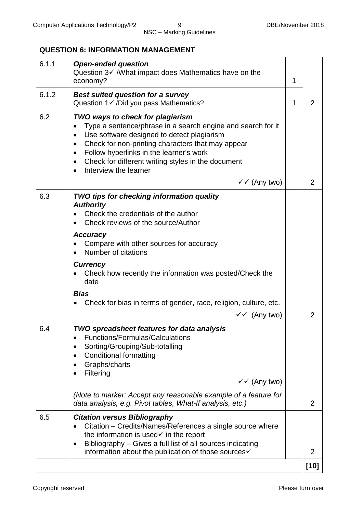#### **QUESTION 6: INFORMATION MANAGEMENT**

| 6.1.1 | <b>Open-ended question</b><br>Question $3\checkmark$ /What impact does Mathematics have on the<br>economy?                                                                                                                                                                                                                                                                                                 | 1 |                     |
|-------|------------------------------------------------------------------------------------------------------------------------------------------------------------------------------------------------------------------------------------------------------------------------------------------------------------------------------------------------------------------------------------------------------------|---|---------------------|
| 6.1.2 | <b>Best suited question for a survey</b><br>Question 1 √ / Did you pass Mathematics?                                                                                                                                                                                                                                                                                                                       | 1 | $\overline{2}$      |
| 6.2   | TWO ways to check for plagiarism<br>Type a sentence/phrase in a search engine and search for it<br>Use software designed to detect plagiarism<br>$\bullet$<br>Check for non-printing characters that may appear<br>$\bullet$<br>Follow hyperlinks in the learner's work<br>$\bullet$<br>Check for different writing styles in the document<br>$\bullet$<br>Interview the learner<br>$\checkmark$ (Any two) |   | $\overline{2}$      |
| 6.3   | TWO tips for checking information quality<br><b>Authority</b><br>Check the credentials of the author<br>Check reviews of the source/Author<br><b>Accuracy</b><br>Compare with other sources for accuracy<br>Number of citations<br><b>Currency</b><br>Check how recently the information was posted/Check the<br>date<br><b>Bias</b><br>Check for bias in terms of gender, race, religion, culture, etc.   |   |                     |
| 6.4   | $\checkmark$ (Any two)<br>TWO spreadsheet features for data analysis<br>Functions/Formulas/Calculations<br>٠<br>Sorting/Grouping/Sub-totalling<br><b>Conditional formatting</b><br>Graphs/charts<br>Filtering<br>$\checkmark$ (Any two)<br>(Note to marker: Accept any reasonable example of a feature for<br>data analysis, e.g. Pivot tables, What-If analysis, etc.)                                    |   | 2<br>$\overline{2}$ |
| 6.5   | <b>Citation versus Bibliography</b><br>Citation – Credits/Names/References a single source where<br>the information is used $\checkmark$ in the report<br>Bibliography - Gives a full list of all sources indicating<br>$\bullet$<br>information about the publication of those sources√                                                                                                                   |   | 2                   |
|       |                                                                                                                                                                                                                                                                                                                                                                                                            |   | $[10]$              |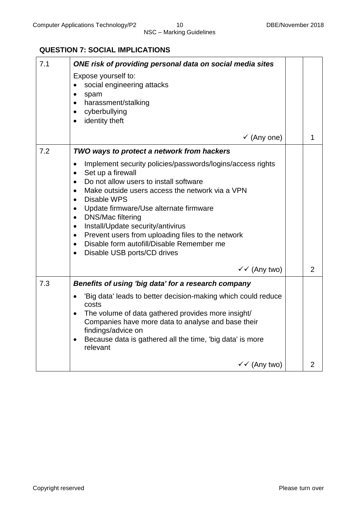## **QUESTION 7: SOCIAL IMPLICATIONS**

| 7.1 | ONE risk of providing personal data on social media sites<br>Expose yourself to:                          |                |
|-----|-----------------------------------------------------------------------------------------------------------|----------------|
|     | social engineering attacks<br>$\bullet$                                                                   |                |
|     | spam<br>$\bullet$<br>harassment/stalking<br>$\bullet$                                                     |                |
|     | cyberbullying<br>$\bullet$                                                                                |                |
|     | identity theft<br>$\bullet$                                                                               |                |
|     | $\checkmark$ (Any one)                                                                                    | 1              |
| 7.2 | TWO ways to protect a network from hackers                                                                |                |
|     | Implement security policies/passwords/logins/access rights<br>$\bullet$<br>Set up a firewall<br>$\bullet$ |                |
|     | Do not allow users to install software<br>$\bullet$                                                       |                |
|     | Make outside users access the network via a VPN<br><b>Disable WPS</b><br>$\bullet$                        |                |
|     | Update firmware/Use alternate firmware<br>$\bullet$                                                       |                |
|     | <b>DNS/Mac filtering</b><br>$\bullet$<br>Install/Update security/antivirus<br>$\bullet$                   |                |
|     | Prevent users from uploading files to the network<br>$\bullet$                                            |                |
|     | Disable form autofill/Disable Remember me<br>$\bullet$<br>Disable USB ports/CD drives<br>$\bullet$        |                |
|     |                                                                                                           |                |
|     | $\checkmark$ (Any two)                                                                                    | $\overline{2}$ |
| 7.3 | Benefits of using 'big data' for a research company                                                       |                |
|     | 'Big data' leads to better decision-making which could reduce<br>$\bullet$<br>costs                       |                |
|     | The volume of data gathered provides more insight/<br>$\bullet$                                           |                |
|     | Companies have more data to analyse and base their<br>findings/advice on                                  |                |
|     | Because data is gathered all the time, 'big data' is more<br>$\bullet$<br>relevant                        |                |
|     | $\checkmark$ (Any two)                                                                                    | $\overline{2}$ |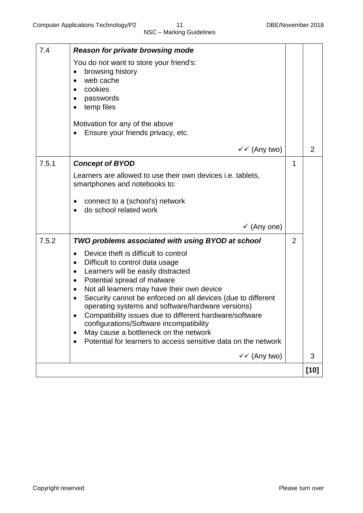| 7.4   | <b>Reason for private browsing mode</b><br>You do not want to store your friend's:<br>browsing history<br>$\bullet$<br>web cache<br>cookies<br>$\bullet$<br>passwords<br>temp files<br>$\bullet$<br>Motivation for any of the above                                                                                                                                                                                                                                                                                                                                                                                                                                 |                |                |
|-------|---------------------------------------------------------------------------------------------------------------------------------------------------------------------------------------------------------------------------------------------------------------------------------------------------------------------------------------------------------------------------------------------------------------------------------------------------------------------------------------------------------------------------------------------------------------------------------------------------------------------------------------------------------------------|----------------|----------------|
|       | Ensure your friends privacy, etc.                                                                                                                                                                                                                                                                                                                                                                                                                                                                                                                                                                                                                                   |                |                |
|       | $\checkmark$ (Any two)                                                                                                                                                                                                                                                                                                                                                                                                                                                                                                                                                                                                                                              |                | $\overline{2}$ |
| 7.5.1 | <b>Concept of BYOD</b><br>Learners are allowed to use their own devices i.e. tablets,<br>smartphones and notebooks to:<br>connect to a (school's) network<br>٠<br>do school related work<br>$\bullet$                                                                                                                                                                                                                                                                                                                                                                                                                                                               | 1              |                |
|       | $\checkmark$ (Any one)                                                                                                                                                                                                                                                                                                                                                                                                                                                                                                                                                                                                                                              |                |                |
| 7.5.2 | TWO problems associated with using BYOD at school<br>Device theft is difficult to control<br>$\bullet$<br>Difficult to control data usage<br>$\bullet$<br>Learners will be easily distracted<br>$\bullet$<br>Potential spread of malware<br>$\bullet$<br>Not all learners may have their own device<br>$\bullet$<br>Security cannot be enforced on all devices (due to different<br>$\bullet$<br>operating systems and software/hardware versions)<br>Compatibility issues due to different hardware/software<br>configurations/Software incompatibility<br>May cause a bottleneck on the network<br>Potential for learners to access sensitive data on the network | $\overline{2}$ |                |
|       | $\checkmark$ (Any two)                                                                                                                                                                                                                                                                                                                                                                                                                                                                                                                                                                                                                                              |                | 3              |
|       |                                                                                                                                                                                                                                                                                                                                                                                                                                                                                                                                                                                                                                                                     |                | $[10]$         |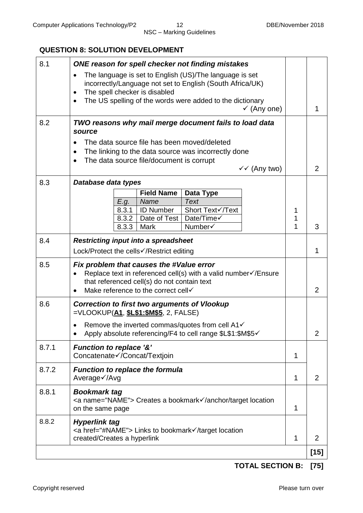#### **QUESTION 8: SOLUTION DEVELOPMENT**

| 8.1   | ONE reason for spell checker not finding mistakes                                                                                                                                                                                                                      |        |                |
|-------|------------------------------------------------------------------------------------------------------------------------------------------------------------------------------------------------------------------------------------------------------------------------|--------|----------------|
|       | The language is set to English (US)/The language is set<br>incorrectly/Language not set to English (South Africa/UK)<br>The spell checker is disabled<br>$\bullet$<br>The US spelling of the words were added to the dictionary<br>$\bullet$<br>$\checkmark$ (Any one) |        | 1              |
| 8.2   | TWO reasons why mail merge document fails to load data<br>source                                                                                                                                                                                                       |        |                |
|       | The data source file has been moved/deleted<br>The linking to the data source was incorrectly done<br>$\bullet$<br>The data source file/document is corrupt<br>٠<br>$\checkmark$ (Any two)                                                                             |        | 2              |
| 8.3   | Database data types                                                                                                                                                                                                                                                    |        |                |
|       | <b>Field Name</b><br>Data Type                                                                                                                                                                                                                                         |        |                |
|       | Name<br><b>Text</b><br>E.g.                                                                                                                                                                                                                                            |        |                |
|       | 8.3.1<br><b>ID Number</b><br>Short Text√/Text<br>8.3.2<br>Date of Test<br>Date/Time√                                                                                                                                                                                   | 1<br>1 |                |
|       | Number√<br>8.3.3<br>Mark                                                                                                                                                                                                                                               | 1      | 3              |
| 8.4   | <b>Restricting input into a spreadsheet</b>                                                                                                                                                                                                                            |        |                |
|       | Lock/Protect the cells√/Restrict editing                                                                                                                                                                                                                               |        | 1              |
| 8.5   | Fix problem that causes the #Value error<br>Replace text in referenced cell(s) with a valid number ∕ / Ensure<br>that referenced cell(s) do not contain text<br>Make reference to the correct cell                                                                     |        | $\overline{2}$ |
| 8.6   | <b>Correction to first two arguments of Vlookup</b><br>=VLOOKUP(A1, \$L\$1:\$M\$5, 2, FALSE)                                                                                                                                                                           |        |                |
|       | Remove the inverted commas/quotes from cell A1√<br>Apply absolute referencing/F4 to cell range \$L\$1:\$M\$5√                                                                                                                                                          |        | $\overline{2}$ |
| 8.7.1 | <b>Function to replace '&amp;'</b><br>Concatenate√/Concat/Textjoin                                                                                                                                                                                                     | 1      |                |
| 8.7.2 | <b>Function to replace the formula</b><br>Average√/Avg                                                                                                                                                                                                                 | 1      | $\overline{2}$ |
| 8.8.1 | <b>Bookmark tag</b><br><a name="NAME"> Creates a bookmark√/anchor/target location<br/>on the same page</a>                                                                                                                                                             | 1      |                |
| 8.8.2 | <b>Hyperlink tag</b><br><a href="#NAME"> Links to bookmark√/target location<br/>created/Creates a hyperlink</a>                                                                                                                                                        | 1      | 2              |
|       |                                                                                                                                                                                                                                                                        |        | $[15]$         |

**TOTAL SECTION B: [75]**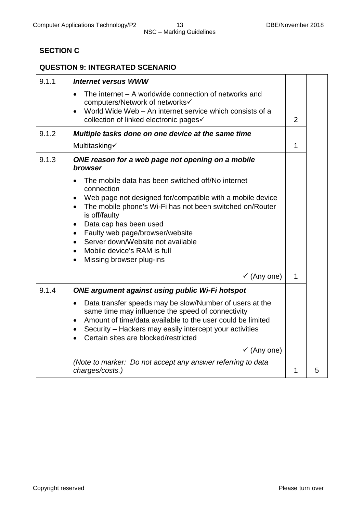# NSC – Marking Guidelines

#### **SECTION C**

#### **QUESTION 9: INTEGRATED SCENARIO**

| 9.1.1 | <b>Internet versus WWW</b>                                                                                                                                                                                                                                                                                           |              |   |
|-------|----------------------------------------------------------------------------------------------------------------------------------------------------------------------------------------------------------------------------------------------------------------------------------------------------------------------|--------------|---|
|       | The internet - A worldwide connection of networks and<br>$\bullet$<br>computers/Network of networks√                                                                                                                                                                                                                 |              |   |
|       | World Wide Web - An internet service which consists of a<br>$\bullet$<br>collection of linked electronic pages√                                                                                                                                                                                                      | 2            |   |
| 9.1.2 | Multiple tasks done on one device at the same time                                                                                                                                                                                                                                                                   |              |   |
|       | Multitasking√                                                                                                                                                                                                                                                                                                        | $\mathbf{1}$ |   |
| 9.1.3 | ONE reason for a web page not opening on a mobile<br>browser                                                                                                                                                                                                                                                         |              |   |
|       | The mobile data has been switched off/No internet<br>connection                                                                                                                                                                                                                                                      |              |   |
|       | Web page not designed for/compatible with a mobile device<br>$\bullet$                                                                                                                                                                                                                                               |              |   |
|       | The mobile phone's Wi-Fi has not been switched on/Router<br>$\bullet$<br>is off/faulty                                                                                                                                                                                                                               |              |   |
|       | Data cap has been used<br>$\bullet$                                                                                                                                                                                                                                                                                  |              |   |
|       | Faulty web page/browser/website<br>$\bullet$                                                                                                                                                                                                                                                                         |              |   |
|       | Server down/Website not available<br>$\bullet$<br>Mobile device's RAM is full<br>$\bullet$                                                                                                                                                                                                                           |              |   |
|       | Missing browser plug-ins<br>$\bullet$                                                                                                                                                                                                                                                                                |              |   |
|       | $\checkmark$ (Any one)                                                                                                                                                                                                                                                                                               | $\mathbf 1$  |   |
| 9.1.4 | <b>ONE argument against using public Wi-Fi hotspot</b>                                                                                                                                                                                                                                                               |              |   |
|       | Data transfer speeds may be slow/Number of users at the<br>$\bullet$<br>same time may influence the speed of connectivity<br>Amount of time/data available to the user could be limited<br>$\bullet$<br>Security – Hackers may easily intercept your activities<br>$\bullet$<br>Certain sites are blocked/restricted |              |   |
|       | $\checkmark$ (Any one)                                                                                                                                                                                                                                                                                               |              |   |
|       | (Note to marker: Do not accept any answer referring to data<br>charges/costs.)                                                                                                                                                                                                                                       | 1            | 5 |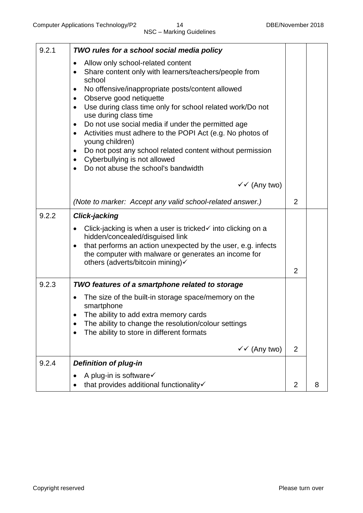| 9.2.1 | TWO rules for a school social media policy                                                                                                                                                                                                                                                       |                |   |
|-------|--------------------------------------------------------------------------------------------------------------------------------------------------------------------------------------------------------------------------------------------------------------------------------------------------|----------------|---|
|       | Allow only school-related content<br>٠<br>Share content only with learners/teachers/people from<br>$\bullet$<br>school                                                                                                                                                                           |                |   |
|       | No offensive/inappropriate posts/content allowed<br>$\bullet$<br>Observe good netiquette<br>$\bullet$                                                                                                                                                                                            |                |   |
|       | Use during class time only for school related work/Do not<br>$\bullet$<br>use during class time                                                                                                                                                                                                  |                |   |
|       | Do not use social media if under the permitted age<br>$\bullet$<br>Activities must adhere to the POPI Act (e.g. No photos of<br>$\bullet$<br>young children)                                                                                                                                     |                |   |
|       | Do not post any school related content without permission<br>٠<br>Cyberbullying is not allowed<br>$\bullet$<br>Do not abuse the school's bandwidth                                                                                                                                               |                |   |
|       | $\checkmark$ (Any two)                                                                                                                                                                                                                                                                           |                |   |
|       | (Note to marker: Accept any valid school-related answer.)                                                                                                                                                                                                                                        | 2              |   |
| 9.2.2 | <b>Click-jacking</b>                                                                                                                                                                                                                                                                             |                |   |
|       | Click-jacking is when a user is tricked $\checkmark$ into clicking on a<br>$\bullet$<br>hidden/concealed/disguised link<br>that performs an action unexpected by the user, e.g. infects<br>$\bullet$<br>the computer with malware or generates an income for<br>others (adverts/bitcoin mining)√ |                |   |
|       |                                                                                                                                                                                                                                                                                                  | $\overline{2}$ |   |
| 9.2.3 | TWO features of a smartphone related to storage                                                                                                                                                                                                                                                  |                |   |
|       | The size of the built-in storage space/memory on the<br>smartphone                                                                                                                                                                                                                               |                |   |
|       | The ability to add extra memory cards                                                                                                                                                                                                                                                            |                |   |
|       | The ability to change the resolution/colour settings<br>The ability to store in different formats                                                                                                                                                                                                |                |   |
|       | $\checkmark$ (Any two)                                                                                                                                                                                                                                                                           | $\overline{2}$ |   |
| 9.2.4 | <b>Definition of plug-in</b>                                                                                                                                                                                                                                                                     |                |   |
|       | A plug-in is software√<br>that provides additional functionality                                                                                                                                                                                                                                 | $\overline{2}$ | 8 |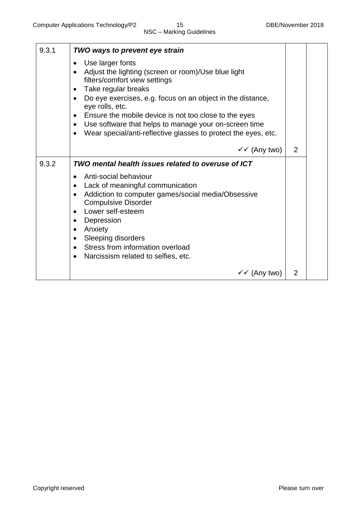| 9.3.1 | TWO ways to prevent eye strain                                                                                                                                                                                                                                                                                                                                                                                                                           |   |  |
|-------|----------------------------------------------------------------------------------------------------------------------------------------------------------------------------------------------------------------------------------------------------------------------------------------------------------------------------------------------------------------------------------------------------------------------------------------------------------|---|--|
|       | Use larger fonts<br>Adjust the lighting (screen or room)/Use blue light<br>filters/comfort view settings<br>Take regular breaks<br>$\bullet$<br>Do eye exercises, e.g. focus on an object in the distance,<br>$\bullet$<br>eye rolls, etc.<br>Ensure the mobile device is not too close to the eyes<br>Use software that helps to manage your on-screen time<br>$\bullet$<br>Wear special/anti-reflective glasses to protect the eyes, etc.<br>$\bullet$ |   |  |
|       | $\checkmark$ (Any two)                                                                                                                                                                                                                                                                                                                                                                                                                                   | 2 |  |
| 9.3.2 | TWO mental health issues related to overuse of ICT                                                                                                                                                                                                                                                                                                                                                                                                       |   |  |
|       | Anti-social behaviour<br>Lack of meaningful communication<br>$\bullet$<br>Addiction to computer games/social media/Obsessive<br>$\bullet$<br><b>Compulsive Disorder</b><br>Lower self-esteem<br>$\bullet$<br>Depression<br>$\bullet$<br>Anxiety<br>$\bullet$<br><b>Sleeping disorders</b><br>$\bullet$<br>Stress from information overload<br>$\bullet$<br>Narcissism related to selfies, etc.<br>$\bullet$                                              |   |  |
|       | $\checkmark$ (Any two)                                                                                                                                                                                                                                                                                                                                                                                                                                   | 2 |  |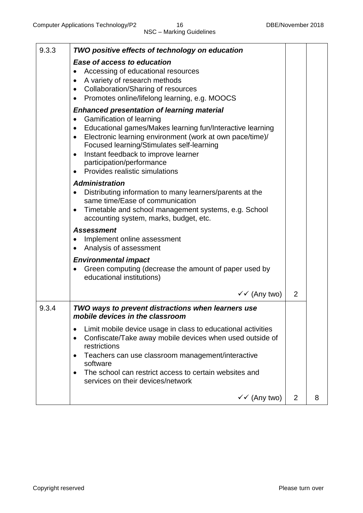| 9.3.3 | TWO positive effects of technology on education                                                                                                                                                                                                                                                                                                                                                               |                |   |
|-------|---------------------------------------------------------------------------------------------------------------------------------------------------------------------------------------------------------------------------------------------------------------------------------------------------------------------------------------------------------------------------------------------------------------|----------------|---|
|       | Ease of access to education<br>Accessing of educational resources<br>$\bullet$<br>A variety of research methods<br>$\bullet$<br><b>Collaboration/Sharing of resources</b><br>$\bullet$<br>Promotes online/lifelong learning, e.g. MOOCS<br>$\bullet$                                                                                                                                                          |                |   |
|       | <b>Enhanced presentation of learning material</b><br>Gamification of learning<br>$\bullet$<br>Educational games/Makes learning fun/Interactive learning<br>$\bullet$<br>Electronic learning environment (work at own pace/time)/<br>$\bullet$<br>Focused learning/Stimulates self-learning<br>Instant feedback to improve learner<br>$\bullet$<br>participation/performance<br>Provides realistic simulations |                |   |
|       | <b>Administration</b><br>Distributing information to many learners/parents at the<br>same time/Ease of communication<br>Timetable and school management systems, e.g. School<br>$\bullet$<br>accounting system, marks, budget, etc.                                                                                                                                                                           |                |   |
|       | <b>Assessment</b><br>Implement online assessment<br>Analysis of assessment                                                                                                                                                                                                                                                                                                                                    |                |   |
|       | <b>Environmental impact</b><br>Green computing (decrease the amount of paper used by<br>educational institutions)                                                                                                                                                                                                                                                                                             |                |   |
|       | $\checkmark$ (Any two)                                                                                                                                                                                                                                                                                                                                                                                        | $\overline{2}$ |   |
| 9.3.4 | TWO ways to prevent distractions when learners use<br>mobile devices in the classroom                                                                                                                                                                                                                                                                                                                         |                |   |
|       | Limit mobile device usage in class to educational activities<br>Confiscate/Take away mobile devices when used outside of<br>$\bullet$<br>restrictions<br>Teachers can use classroom management/interactive<br>$\bullet$<br>software<br>The school can restrict access to certain websites and<br>$\bullet$<br>services on their devices/network                                                               |                |   |
|       | $\checkmark$ (Any two)                                                                                                                                                                                                                                                                                                                                                                                        | $\overline{2}$ | 8 |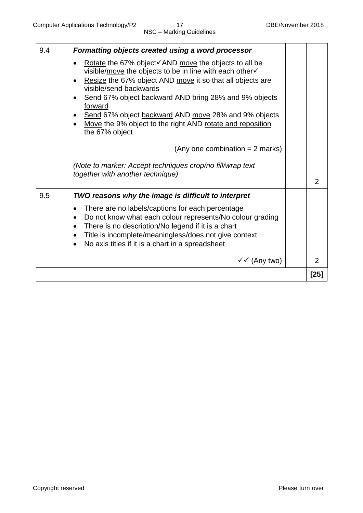| 9.4 | Formatting objects created using a word processor                                                                                                                                                                                                                                                                                                                                                                                                                   |                |
|-----|---------------------------------------------------------------------------------------------------------------------------------------------------------------------------------------------------------------------------------------------------------------------------------------------------------------------------------------------------------------------------------------------------------------------------------------------------------------------|----------------|
|     | Rotate the 67% object $\checkmark$ AND move the objects to all be<br>visible/move the objects to be in line with each other√<br>Resize the 67% object AND move it so that all objects are<br>visible/send backwards<br>Send 67% object backward AND bring 28% and 9% objects<br>forward<br>Send 67% object backward AND move 28% and 9% objects<br>Move the 9% object to the right AND rotate and reposition<br>the 67% object<br>(Any one combination $= 2$ marks) |                |
|     | (Note to marker: Accept techniques crop/no fill/wrap text<br>together with another technique)                                                                                                                                                                                                                                                                                                                                                                       | $\overline{2}$ |
| 9.5 | TWO reasons why the image is difficult to interpret                                                                                                                                                                                                                                                                                                                                                                                                                 |                |
|     | There are no labels/captions for each percentage<br>Do not know what each colour represents/No colour grading<br>$\bullet$<br>There is no description/No legend if it is a chart<br>$\bullet$<br>Title is incomplete/meaningless/does not give context<br>$\bullet$<br>No axis titles if it is a chart in a spreadsheet                                                                                                                                             |                |
|     | $\checkmark$ (Any two)                                                                                                                                                                                                                                                                                                                                                                                                                                              | 2              |
|     |                                                                                                                                                                                                                                                                                                                                                                                                                                                                     | [25]           |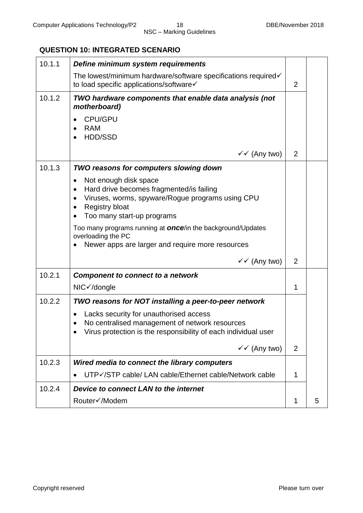#### **QUESTION 10: INTEGRATED SCENARIO**

| 10.1.1 | Define minimum system requirements                                                                                                                                                                          |                |   |
|--------|-------------------------------------------------------------------------------------------------------------------------------------------------------------------------------------------------------------|----------------|---|
|        | The lowest/minimum hardware/software specifications required√<br>to load specific applications/software√                                                                                                    | $\overline{2}$ |   |
| 10.1.2 | TWO hardware components that enable data analysis (not<br>motherboard)                                                                                                                                      |                |   |
|        | <b>CPU/GPU</b><br><b>RAM</b><br>HDD/SSD                                                                                                                                                                     |                |   |
|        | $\checkmark$ (Any two)                                                                                                                                                                                      | $\overline{2}$ |   |
| 10.1.3 | TWO reasons for computers slowing down                                                                                                                                                                      |                |   |
|        | Not enough disk space<br>٠<br>Hard drive becomes fragmented/is failing<br>$\bullet$<br>Viruses, worms, spyware/Rogue programs using CPU<br>$\bullet$<br><b>Registry bloat</b><br>Too many start-up programs |                |   |
|        | Too many programs running at <b>once</b> /in the background/Updates<br>overloading the PC                                                                                                                   |                |   |
|        | Newer apps are larger and require more resources                                                                                                                                                            |                |   |
|        | $\checkmark$ (Any two)                                                                                                                                                                                      | $\overline{2}$ |   |
| 10.2.1 | <b>Component to connect to a network</b>                                                                                                                                                                    |                |   |
|        | NIC√/dongle                                                                                                                                                                                                 | 1              |   |
| 10.2.2 | TWO reasons for NOT installing a peer-to-peer network                                                                                                                                                       |                |   |
|        | Lacks security for unauthorised access<br>No centralised management of network resources<br>Virus protection is the responsibility of each individual user                                                  |                |   |
|        | $\checkmark$ (Any two)                                                                                                                                                                                      | $\overline{2}$ |   |
| 10.2.3 | Wired media to connect the library computers                                                                                                                                                                |                |   |
|        | UTP√/STP cable/ LAN cable/Ethernet cable/Network cable                                                                                                                                                      | 1              |   |
| 10.2.4 | Device to connect LAN to the internet                                                                                                                                                                       |                |   |
|        | Router√/Modem                                                                                                                                                                                               | 1              | 5 |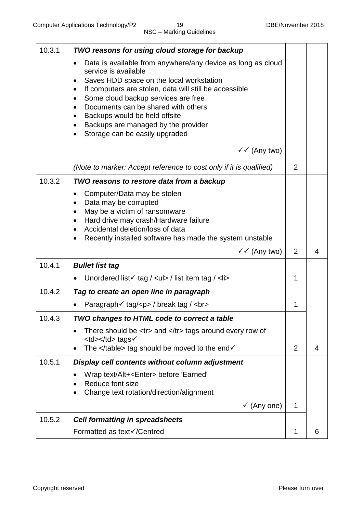| 10.3.1 | TWO reasons for using cloud storage for backup                                                                                                                                                                                                                                                                                                                                                                                                                               |                |   |
|--------|------------------------------------------------------------------------------------------------------------------------------------------------------------------------------------------------------------------------------------------------------------------------------------------------------------------------------------------------------------------------------------------------------------------------------------------------------------------------------|----------------|---|
|        | Data is available from anywhere/any device as long as cloud<br>service is available<br>Saves HDD space on the local workstation<br>$\bullet$<br>If computers are stolen, data will still be accessible<br>$\bullet$<br>Some cloud backup services are free<br>$\bullet$<br>Documents can be shared with others<br>$\bullet$<br>Backups would be held offsite<br>$\bullet$<br>Backups are managed by the provider<br>$\bullet$<br>Storage can be easily upgraded<br>$\bullet$ |                |   |
|        | $\checkmark$ (Any two)                                                                                                                                                                                                                                                                                                                                                                                                                                                       |                |   |
|        | (Note to marker: Accept reference to cost only if it is qualified)                                                                                                                                                                                                                                                                                                                                                                                                           | $\overline{2}$ |   |
| 10.3.2 | TWO reasons to restore data from a backup                                                                                                                                                                                                                                                                                                                                                                                                                                    |                |   |
|        | Computer/Data may be stolen<br>$\bullet$<br>Data may be corrupted<br>$\bullet$<br>May be a victim of ransomware<br>$\bullet$<br>Hard drive may crash/Hardware failure<br>$\bullet$<br>Accidental deletion/loss of data<br>Recently installed software has made the system unstable<br>$\bullet$                                                                                                                                                                              |                |   |
|        | $\checkmark$ (Any two)                                                                                                                                                                                                                                                                                                                                                                                                                                                       | $\overline{2}$ | 4 |
| 10.4.1 | <b>Bullet list tag</b>                                                                                                                                                                                                                                                                                                                                                                                                                                                       |                |   |
|        | Unordered list $\checkmark$ tag / <ul> / list item tag / <li></li></ul>                                                                                                                                                                                                                                                                                                                                                                                                      | 1              |   |
| 10.4.2 | Tag to create an open line in paragraph                                                                                                                                                                                                                                                                                                                                                                                                                                      |                |   |
|        | Paragraph√ tag/ <p> / break tag / <br/></p>                                                                                                                                                                                                                                                                                                                                                                                                                                  | 1              |   |
| 10.4.3 | TWO changes to HTML code to correct a table                                                                                                                                                                                                                                                                                                                                                                                                                                  |                |   |
|        | There should be <tr> and </tr> tags around every row of<br><td></td> tags√<br>The                                                                                                                                                                                                                                                                                                                                                                                            |                |   |
|        |                                                                                                                                                                                                                                                                                                                                                                                                                                                                              |                |   |

 tag should be moved to the end√ $\overline{2}$ | 4 || 10.5.1 | Display cell contents without column adjustment |  |  |
|  | Wrap text/Alt+ before 'Earned'Reduce font sizeChange text rotation/direction/alignment $\bullet$ | 1 |  |
|  | $\checkmark$  (Any one) |  |  |
| 10.5.2 | **Cell formatting in spreadsheets**Formatted as text√/Centred | 1 | 6 |
|  |  |  |  |